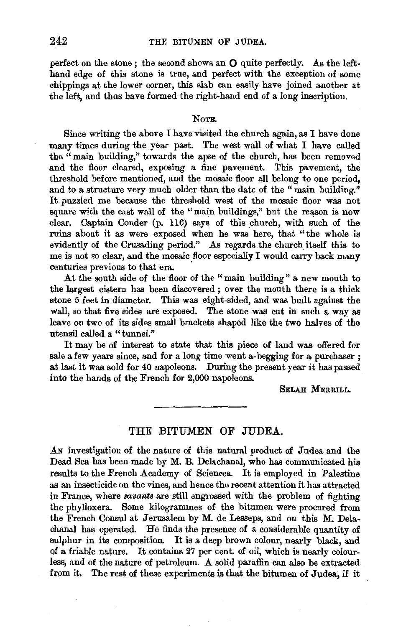perfect on the stone; the second shows an  $O$  quite perfectly. As the lefthand edge of this stone is true, and perfect with the exception of some chippings at the lower corner, this slab can easily have joined another at the left, and thus have formed the right-hand end of a long inscription.

#### NoTE.

Since writing the above I have visited the church again, as I have done many times during the year past. The west wall of what I have called the "main building," towards the apse of the church, has been removed and the floor cleared, exposing a fine pavement. This pavement, the threshold before mentioned, and the mosaic floor all belong to one period, and to a structure very much older than the date of the "main building." It puzzled me because the threshold west of the mosaic floor was not square with the east wall of the "main buildings," but the reason is now clear. Captain Conder (p. 116) says of this church, with such of the ruins about it as were exposed when he was here, that "the whole is evidently of the Crusading period." As regards the church itself this to me is not so clear, and the mosaic floor especially I would carry back many centuries previous to that era.

At the south side of the floor of the "main building" a new mouth to the largest cistern has been discovered ; over the mouth there is a thick stone 5 feet in diameter. This was eight-sided, and was built against the wall, so that five sides are exposed. The stone was cut in such a way as leave on two of its sides small brackets shaped like the two halves of the utensil called a "tunnel."

It may be of interest to state that this piece of land was offered for sale a few years since, and for a long time went a-begging for a purchaser ; at last it was sold for 40 napoleons. During the present year it has passed into the hands of the French for 2,000 napoleons.

SELAH MERRILL.

# THE BITUMEN OF JUDEA.

An investigation of the nature of this natural product of Judea and the Dead Sea has been made by M. B. Delachanal, who has communicated his results to the French Academy of Sciences. It is employed in Palestine as an insecticide on the vines, and hence the recent attention it has attracted in France, where *savants* are still engrossed with the problem of fighting the phylloxera. Some kilogrammes of the bitumen were procured from the French Consul at Jerusalem by M. de Lesseps, and on this M. Delachanal has operated. He finds the presence of a considerable quantity of sulphur in its composition. It is a deep brown colour, nearly black, and of a friable nature. It contains 27 per cent. of oil, which is nearly colourless, and of the nature of petroleum. A solid paraffin can also be extracted from it. The rest of these experiments is that the bitumen of Judea, if it